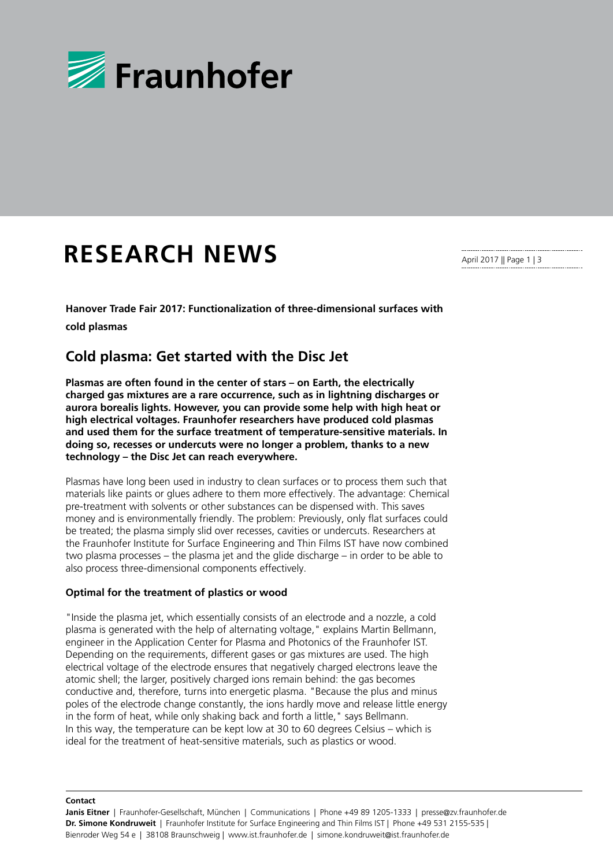

# **RESEARCH NEWS**

**Hanover Trade Fair 2017: Functionalization of three-dimensional surfaces with** 

**cold plasmas**

## **Cold plasma: Get started with the Disc Jet**

**Plasmas are often found in the center of stars – on Earth, the electrically charged gas mixtures are a rare occurrence, such as in lightning discharges or aurora borealis lights. However, you can provide some help with high heat or high electrical voltages. Fraunhofer researchers have produced cold plasmas and used them for the surface treatment of temperature-sensitive materials. In doing so, recesses or undercuts were no longer a problem, thanks to a new technology – the Disc Jet can reach everywhere.**

Plasmas have long been used in industry to clean surfaces or to process them such that materials like paints or glues adhere to them more effectively. The advantage: Chemical pre-treatment with solvents or other substances can be dispensed with. This saves money and is environmentally friendly. The problem: Previously, only flat surfaces could be treated; the plasma simply slid over recesses, cavities or undercuts. Researchers at the Fraunhofer Institute for Surface Engineering and Thin Films IST have now combined two plasma processes – the plasma jet and the glide discharge – in order to be able to also process three-dimensional components effectively.

## **Optimal for the treatment of plastics or wood**

"Inside the plasma jet, which essentially consists of an electrode and a nozzle, a cold plasma is generated with the help of alternating voltage," explains Martin Bellmann, engineer in the Application Center for Plasma and Photonics of the Fraunhofer IST. Depending on the requirements, different gases or gas mixtures are used. The high electrical voltage of the electrode ensures that negatively charged electrons leave the atomic shell; the larger, positively charged ions remain behind: the gas becomes conductive and, therefore, turns into energetic plasma. "Because the plus and minus poles of the electrode change constantly, the ions hardly move and release little energy in the form of heat, while only shaking back and forth a little," says Bellmann. In this way, the temperature can be kept low at 30 to 60 degrees Celsius – which is ideal for the treatment of heat-sensitive materials, such as plastics or wood.

April 2017 || Page 1 | 3

#### **Contact**

**Janis Eitner** | Fraunhofer-Gesellschaft, München | Communications | Phone +49 89 1205-1333 | presse@zv.fraunhofer.de **Dr. Simone Kondruweit** | Fraunhofer Institute for Surface Engineering and Thin Films IST | Phone +49 531 2155-535 | Bienroder Weg 54 e | 38108 Braunschweig | www.ist.fraunhofer.de | simone.kondruweit@ist.fraunhofer.de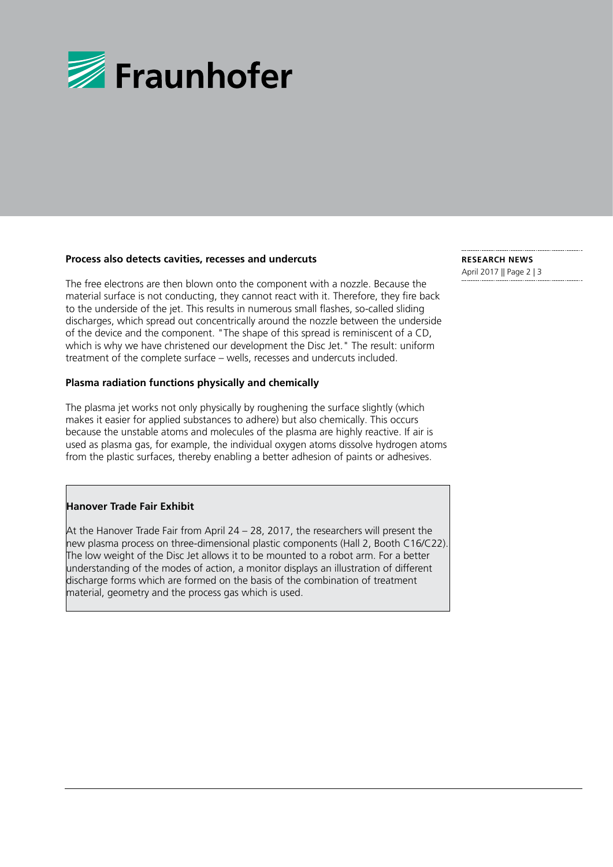

### **Process also detects cavities, recesses and undercuts**

The free electrons are then blown onto the component with a nozzle. Because the material surface is not conducting, they cannot react with it. Therefore, they fire back to the underside of the jet. This results in numerous small flashes, so-called sliding discharges, which spread out concentrically around the nozzle between the underside of the device and the component. "The shape of this spread is reminiscent of a CD, which is why we have christened our development the Disc Jet." The result: uniform treatment of the complete surface – wells, recesses and undercuts included.

## **Plasma radiation functions physically and chemically**

The plasma jet works not only physically by roughening the surface slightly (which makes it easier for applied substances to adhere) but also chemically. This occurs because the unstable atoms and molecules of the plasma are highly reactive. If air is used as plasma gas, for example, the individual oxygen atoms dissolve hydrogen atoms from the plastic surfaces, thereby enabling a better adhesion of paints or adhesives.

## **Hanover Trade Fair Exhibit**

At the Hanover Trade Fair from April 24 – 28, 2017, the researchers will present the new plasma process on three-dimensional plastic components (Hall 2, Booth C16/C22). The low weight of the Disc Jet allows it to be mounted to a robot arm. For a better understanding of the modes of action, a monitor displays an illustration of different discharge forms which are formed on the basis of the combination of treatment material, geometry and the process gas which is used.

**RESEARCH NEWS**  April 2017 || Page 2 | 3